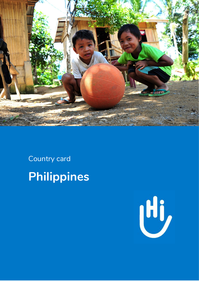

Country card Philippines

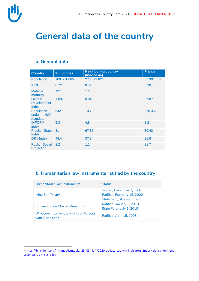

**.** 

## **General data of the country**

#### **a. General data**

| Country <sup>1</sup>                      | <b>Philippines</b> | <b>Neighboring country</b><br>(Indonesia) | <b>France</b> |
|-------------------------------------------|--------------------|-------------------------------------------|---------------|
| Population                                | 109.581.085        | 273.523.621                               | 67.391.582    |
| <b>IHDI</b>                               | 0.72               | 0.72                                      | 0.90          |
| <b>Maternal</b><br>mortality              | 121                | 177                                       | 8             |
| Gender<br><b>Development</b><br>Index     | 1.007              | 0.940                                     | 0.987         |
| <b>Population</b><br>under HCR<br>mandate | 642                | 10.793                                    | 368,352       |
| <b>INFORM</b><br>index                    | 5.3                | 4.8                                       | 2.2           |
| <b>Fragile State</b><br>Index             | 81                 | 67.85                                     | 30.48         |
| <b>GINI Index</b>                         | 44.4               | 37.8                                      | 31.6          |
| Public Social 2.2<br>Protection           |                    | 1.1                                       | 31.7          |

#### **b. Humanitarian law instruments ratified by the country**

| Humanitarian law instruments                                | <b>Status</b>                                                                          |
|-------------------------------------------------------------|----------------------------------------------------------------------------------------|
| Mine Ban Treaty                                             | Signed, December 3, 1997<br>Ratified, February 15, 2000<br>State party, August 1, 2000 |
| <b>Convention on Cluster Munitions</b>                      | Ratified, January 3, 2019<br>State Party, July 1, 2019                                 |
| UN Convention on the Rights of Persons<br>with Disabilities | Ratified, April 15, 2008                                                               |

<sup>1</sup> [https://hinside.hi.org/intranet/jcms/pl1\\_2540344/fr/2020-update-country-indicators-2ndary-data-/-donnees](https://hinside.hi.org/intranet/jcms/pl1_2540344/fr/2020-update-country-indicators-2ndary-data-/-donnees-secondaires-mises-a-jour)[secondaires-mises-a-jour](https://hinside.hi.org/intranet/jcms/pl1_2540344/fr/2020-update-country-indicators-2ndary-data-/-donnees-secondaires-mises-a-jour)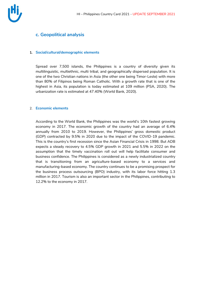

#### **c. Geopolitical analysis**

#### **1. Social/cultural/demographic elements**

Spread over 7,500 islands, the Philippines is a country of diversity given its multilinguistic, multiethnic, multi tribal, and geographically dispersed population. It is one of the two Christian nations in Asia (the other one being Timor-Leste) with more than 80% of Filipinos being Roman Catholic. With a growth rate that is one of the highest in Asia, its population is today estimated at 109 million (PSA, 2020). The urbanization rate is estimated at 47.40% (World Bank, 2020).

#### 2. **Economic elements**

According to the World Bank, the Philippines was the world's 10th fastest growing economy in 2017. The economic growth of the country had an average of 6.4% annually from 2010 to 2019. However, the Philippines' gross domestic product (GDP) contracted by 9.5% in 2020 due to the impact of the COVID-19 pandemic. This is the country's first recession since the Asian Financial Crisis in 1998. But ADB expects a steady recovery to 4.5% GDP growth in 2021 and 5.5% in 2022 on the assumption that the timely vaccination roll out will help facilitate consumer and business confidence. The Philippines is considered as a newly industrialized country that is transitioning from an agriculture-based economy to a services and manufacturing-based economy. The country continues to be a promising prospect for the business process outsourcing (BPO) industry, with its labor force hitting 1.3 million in 2017. Tourism is also an important sector in the Philippines, contributing to 12.2% to the economy in 2017.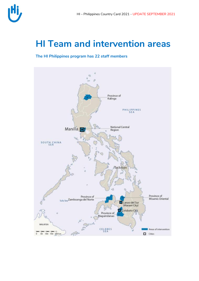

## **HI Team and intervention areas**

**The HI Philippines program has 22 staff members**

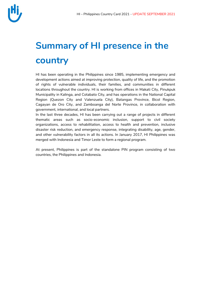

# **Summary of HI presence in the country**

HI has been operating in the Philippines since 1985, implementing emergency and development actions aimed at improving protection, quality of life, and the promotion of rights of vulnerable individuals, their families, and communities in different locations throughout the country. HI is working from offices in Makati City, Pinukpuk Municipality in Kalinga, and Cotabato City, and has operations in the National Capital Region (Quezon City and Valenzuela City), Batangas Province, Bicol Region, Cagayan de Oro City, and Zamboanga del Norte Province, in collaboration with government, international, and local partners.

In the last three decades, HI has been carrying out a range of projects in different thematic areas such as socio-economic inclusion, support to civil society organizations, access to rehabilitation, access to health and prevention, inclusive disaster risk reduction, and emergency response, integrating disability, age, gender, and other vulnerability factors in all its actions. In January 2017, HI Philippines was merged with Indonesia and Timor Leste to form a regional program.

At present, Philippines is part of the standalone PIN program consisting of two countries, the Philippines and Indonesia.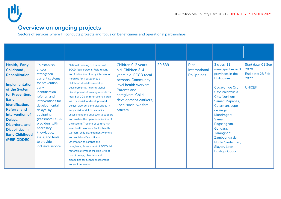

### **Overview on ongoing projects**

Sectors of services where HI conducts projects and focus on beneficiaries and operational partnerships

| Health, Early<br>Childhood,<br><b>Rehabilitation</b><br><b>Implementation</b><br>of the System<br>for Prevention,<br><b>Early</b><br>Identification,<br><b>Referral and</b><br>Intervention of<br>Delays,<br><b>Disorders, and</b><br><b>Disabilities in</b><br><b>Early Childhood</b><br>(PEIRIDDDEC) | To establish<br>and/or<br>strengthen<br>current systems<br>for prevention,<br>early<br>identification,<br>referral, and<br>interventions for<br>developmental<br>delays, by<br>equipping<br>grassroots ECCD<br>providers with<br>necessary<br>knowledge,<br>skills, and tools<br>to provide<br>inclusive service. | <b>National Training of Trainers of</b><br><b>ECCD focal persons; Field testing</b><br>and finalization of early intervention<br>modules for 4 categories of<br>childhood disability (mobility,<br>developmental, hearing, visual);<br>Development of training module for<br>local SWDOs on referral of children<br>with or at-risk of developmental<br>delays, disorders and disabilities in<br>early childhood; LGU capacity<br>assessment and advocacy to support<br>and sustain the operationalization of<br>the system; Training of community-<br>level health workers, facility health<br>workers, child development workers,<br>and social welfare officers:<br>Orientation of parents and<br>caregivers; Assessment of ECCD risk<br>factors; Referral of children with at-<br>risk of delays, disorders and<br>disabilities for further assessment<br>and/or intervention | Children 0-2 years<br>old, Children 3-4<br>years old, ECCD focal<br>persons, Community-<br>level health workers,<br>Parents and<br>caregivers, Child<br>development workers,<br>Local social welfare<br>officers | 20,639 | Plan<br>International<br><b>Philippines</b> | 2 cities, 11<br>municipalities in 3<br>provinces in the<br>Philippines<br>Cagayan de Oro<br>City; Valenzuela<br>City; Northern<br>Samar: Mapanas,<br>Catarman, Lope<br>de Vega,<br>Mondragon;<br>Samar:<br>Pagsanghan,<br>Gandara,<br>Tarangnan;<br>Zamboanga del<br>Norte: Sindangan,<br>Siayan, Leon<br>Postigo, Godod | Start date: 01 Sep<br>2020<br>End date: 28 Feb<br>2022<br><b>UNICEF</b> |
|--------------------------------------------------------------------------------------------------------------------------------------------------------------------------------------------------------------------------------------------------------------------------------------------------------|-------------------------------------------------------------------------------------------------------------------------------------------------------------------------------------------------------------------------------------------------------------------------------------------------------------------|-----------------------------------------------------------------------------------------------------------------------------------------------------------------------------------------------------------------------------------------------------------------------------------------------------------------------------------------------------------------------------------------------------------------------------------------------------------------------------------------------------------------------------------------------------------------------------------------------------------------------------------------------------------------------------------------------------------------------------------------------------------------------------------------------------------------------------------------------------------------------------------|------------------------------------------------------------------------------------------------------------------------------------------------------------------------------------------------------------------|--------|---------------------------------------------|--------------------------------------------------------------------------------------------------------------------------------------------------------------------------------------------------------------------------------------------------------------------------------------------------------------------------|-------------------------------------------------------------------------|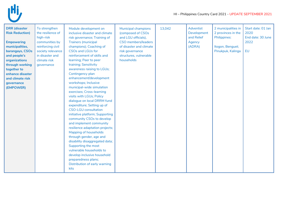

| <b>DRR</b> (disaster<br><b>Risk Reduction)</b><br><b>Empowering</b><br>municipalities,<br>barangays, CSOs<br>and people's<br>organizations<br>through working<br>together to<br>enhance disaster<br>and climate risk<br>governance<br>(EMPOWER) | To strengthen<br>the resilience of<br>high-risk<br>communities by<br>reinforcing civil<br>society relevance<br>in disaster and<br>climate risk<br>qovernance | Module development on<br>inclusive disaster and climate<br>risk governance; Training of<br><b>Trainers (municipal</b><br>champions); Coaching of<br><b>CSOs and LGUs for</b><br>reinforcement of skills and<br>learning; Peer to peer<br>training; Sensitivity<br>awareness raising to LGUs;<br>Contingency plan<br>enhancement/development<br>workshops; Inclusive<br>municipal-wide simulation<br>exercises; Cross-learning<br>visits with LGUs; Policy<br>dialogue on local DRRM fund | <b>Municipal champions</b><br>(composed of CSOs<br>and LGU officials),<br><b>CSO</b> members/leaders<br>of disaster and climate<br>risk governance<br>structures, vulnerable<br>households | 13,042 | <b>Adventist</b><br>Development<br>and Relief<br>Agency<br>(ADRA) | 2 municipalities in<br>2 provinces in the<br>Philippines:<br>Itogon, Benguet;<br>Pinukpuk, Kalinga | Start date: 01 Jan<br>2020<br>End date: 30 June<br>2022<br>EU |
|-------------------------------------------------------------------------------------------------------------------------------------------------------------------------------------------------------------------------------------------------|--------------------------------------------------------------------------------------------------------------------------------------------------------------|------------------------------------------------------------------------------------------------------------------------------------------------------------------------------------------------------------------------------------------------------------------------------------------------------------------------------------------------------------------------------------------------------------------------------------------------------------------------------------------|--------------------------------------------------------------------------------------------------------------------------------------------------------------------------------------------|--------|-------------------------------------------------------------------|----------------------------------------------------------------------------------------------------|---------------------------------------------------------------|
|                                                                                                                                                                                                                                                 |                                                                                                                                                              | <b>CSO-LGU</b> consultation<br>initiative platform; Supporting<br>community CSOs to develop<br>and implement community<br>resilience adaptation projects;<br>Mapping of households<br>through gender, age and<br>disability disaggregated data;<br>Supporting the most<br>vulnerable households to<br>develop inclusive household<br>preparedness plans;<br>Distribution of early warning<br>kits                                                                                        |                                                                                                                                                                                            |        |                                                                   |                                                                                                    |                                                               |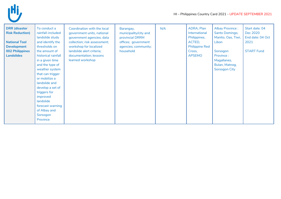

| <b>DRR</b> (disaster<br><b>Risk Reduction)</b><br><b>National Tool</b><br><b>Development</b><br>002 Philippines<br><b>Landslides</b> | To conduct a<br>rainfall-included<br>landslide study<br>and identify the<br>thresholds on<br>the amount of<br>historical rainfall<br>in a given time<br>and the type of<br>weather system<br>that can trigger<br>or mobilize a<br>landslide and<br>develop a set of<br>triggers for<br>improved<br>landslide<br>forecast warning<br>of Albay and<br>Sorsogon<br>Province | Coordination with the local<br>government units, national<br>government agencies; data<br>collection; risk assessment;<br>workshop for localized<br>landslide alert criteria;<br>documentation; lessons<br>learned workshop | Barangay,<br>municipality/city and<br>provincial DRRM<br>offices; government<br>agencies; community;<br>household | N/A | ADRA, Plan<br>International<br>Philippines,<br>ACTED,<br><b>Philippine Red</b><br>Cross,<br><b>APSEMO</b> | <b>Albay Province:</b><br>Santo Domingo,<br>Manito, Oas, Tiwi,<br>Libon<br>Sorsogon<br>Province:<br>Magallanes,<br>Bulan, Matnog,<br><b>Sorsogon City</b> | Start date: 04<br>Dec 2020<br>End date: 04 Oct<br>2021<br><b>START Fund</b> |
|--------------------------------------------------------------------------------------------------------------------------------------|--------------------------------------------------------------------------------------------------------------------------------------------------------------------------------------------------------------------------------------------------------------------------------------------------------------------------------------------------------------------------|-----------------------------------------------------------------------------------------------------------------------------------------------------------------------------------------------------------------------------|-------------------------------------------------------------------------------------------------------------------|-----|-----------------------------------------------------------------------------------------------------------|-----------------------------------------------------------------------------------------------------------------------------------------------------------|-----------------------------------------------------------------------------|
|--------------------------------------------------------------------------------------------------------------------------------------|--------------------------------------------------------------------------------------------------------------------------------------------------------------------------------------------------------------------------------------------------------------------------------------------------------------------------------------------------------------------------|-----------------------------------------------------------------------------------------------------------------------------------------------------------------------------------------------------------------------------|-------------------------------------------------------------------------------------------------------------------|-----|-----------------------------------------------------------------------------------------------------------|-----------------------------------------------------------------------------------------------------------------------------------------------------------|-----------------------------------------------------------------------------|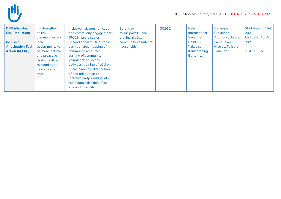

| <b>DRR</b> (disaster<br><b>Risk Reduction)</b><br><b>Inclusive</b><br><b>Anticipation Taal</b><br><b>Action (IATAC)</b> | To strengthen<br>at-risk<br>communities and<br>local<br>governments to<br>be more inclusve<br>and proactive in<br>dealing with and<br>responding to<br>Taal volcanic<br>risks | Inclusive risk communication<br>and community engagement<br>(RCCE); pre-disaster<br>unconditional multi-purpose<br>cash transfer; mapping of<br>community resources;<br>training of community<br>volunteers; advocacy<br>activities; training of LGU on<br>micro-planning; distribution<br>of and orientation on<br>inclusive early warning kits;<br>rapid data collection of sex,<br>age and disability | Barangay,<br>municipal/city, and<br>provincial LGU;<br>community volunteers;<br>households | 30,932 | Relief<br>International,<br>Save the<br>Children,<br>Yakap sa<br>Kaulanran ng<br>Bata, Inc. | <b>Batangas</b><br>Province:<br>Agoncillo, Balete,<br>Laurel, San<br>Nicolas, Talisay,<br>Tanauan | Start date: 17 Jul<br>2021<br>End date: 15 Oct<br>2021<br><b>START Fund</b> |
|-------------------------------------------------------------------------------------------------------------------------|-------------------------------------------------------------------------------------------------------------------------------------------------------------------------------|----------------------------------------------------------------------------------------------------------------------------------------------------------------------------------------------------------------------------------------------------------------------------------------------------------------------------------------------------------------------------------------------------------|--------------------------------------------------------------------------------------------|--------|---------------------------------------------------------------------------------------------|---------------------------------------------------------------------------------------------------|-----------------------------------------------------------------------------|
|-------------------------------------------------------------------------------------------------------------------------|-------------------------------------------------------------------------------------------------------------------------------------------------------------------------------|----------------------------------------------------------------------------------------------------------------------------------------------------------------------------------------------------------------------------------------------------------------------------------------------------------------------------------------------------------------------------------------------------------|--------------------------------------------------------------------------------------------|--------|---------------------------------------------------------------------------------------------|---------------------------------------------------------------------------------------------------|-----------------------------------------------------------------------------|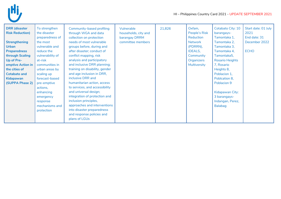

| <b>DRR</b> (disaster   | To strengthen    | Community-based profiling      | Vulnerable           | 21,826 | Oxfam,         | Cotabato City: 10      | Start date: 01 July |
|------------------------|------------------|--------------------------------|----------------------|--------|----------------|------------------------|---------------------|
| <b>Risk Reduction)</b> | the disaster     | through WGA and data           | households, city and |        | People's Risk  | barangays-             | 2021                |
|                        | preparedness of  | collection on protection       | barangay DRRM        |        | Reduction      | Tamontaka 1,           | End date: 31        |
| <b>Strengthening</b>   | the most         | needs of most vulnerable       | committee members    |        | Network        | Tamontaka 2,           | December 2022       |
| <b>Urban</b>           | vulnerable and   | groups before, during and      |                      |        | (PDRRN),       | Tamontaka 3,           |                     |
| <b>Preparedness</b>    | reduce the       | after disaster; conduct of     |                      |        | <b>IDEALS,</b> | Tamontaka 4,           | <b>ECHO</b>         |
| through Scaling        | vulnerability of | conflict mapping, risk         |                      |        | Community      | Tamontaka5,            |                     |
| Up of Pre-             | at-risk          | analysis and participatory     |                      |        | Organizers     | <b>Rosario Heights</b> |                     |
| emptive Action in      | communities in   | and inclusive DRR planning;    |                      |        | Multiversity   | 7, Rosario             |                     |
| the cities of          | urban areas by   | training on disability, gender |                      |        |                | Heights 8,             |                     |
| <b>Cotabato and</b>    | scaling up       | and age inclusion in DRR,      |                      |        |                | Poblacion 1,           |                     |
| <b>Kidapawan</b>       | forecast-based   | inclusive DRR and              |                      |        |                | Poblcation 8,          |                     |
| (SUPPA Phase 2)        | pre-emptive      | humanitarian action, access    |                      |        |                | Poblacion 9            |                     |
|                        | actions,         | to services, and accessibility |                      |        |                |                        |                     |
|                        | enhancing        | and universal design;          |                      |        |                | Kidapawan City:        |                     |
|                        | emergency        | integration of protection and  |                      |        |                | 3 barangays-           |                     |
|                        | response         | inclusion principles,          |                      |        |                | Indangan, Perez,       |                     |
|                        | mechanisms and   | approaches and interventions   |                      |        |                | <b>Balabag</b>         |                     |
|                        | protection       | into disaster preparedness     |                      |        |                |                        |                     |
|                        |                  | and response policies and      |                      |        |                |                        |                     |
|                        |                  | plans of LGUs                  |                      |        |                |                        |                     |
|                        |                  |                                |                      |        |                |                        |                     |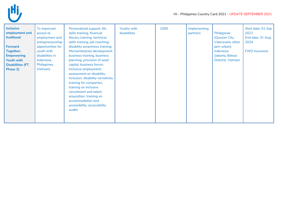

| <b>Inclusive</b><br>employment and<br>livelihood<br><b>Forward</b><br><b>Together:</b><br><b>Empowering</b><br>Youth with<br><b>Disabilities (FT</b> | To improved<br>access to<br>employment and<br>entrepreneurship<br>opportunities for<br>youth with<br>disabilities in<br>Indonesia,<br>Philippines, | Personalized support: life<br>skills training, financial<br>literacy training, technical<br>skills training, job coaching;<br>disability awareness training;<br>Microenterprise development:<br>business training, business<br>planning, provision of seed<br>capital, business forum; | Youths with<br>disabilities | 1000 | Implementing<br>partners | Philippines<br>(Quezon City,<br>Valenzuela, other<br>peri-urban),<br>Indonesia<br>(Jakarta, Bekasi<br>District), Vietnam | Start date: 01 Sep<br>2021<br>End date: 31 Aug<br>2024<br><b>FWD Insurance</b> |
|------------------------------------------------------------------------------------------------------------------------------------------------------|----------------------------------------------------------------------------------------------------------------------------------------------------|----------------------------------------------------------------------------------------------------------------------------------------------------------------------------------------------------------------------------------------------------------------------------------------|-----------------------------|------|--------------------------|--------------------------------------------------------------------------------------------------------------------------|--------------------------------------------------------------------------------|
| Phase 2)                                                                                                                                             | Vietnam)                                                                                                                                           | Inclusive employment:<br>assessment on disability-<br>inclusion, disability-sensitivity<br>training for companies,<br>training on inclusive<br>recruitment and talent<br>acquisition, training on<br>accommodation and<br>accessibility, accessibility<br>audits                       |                             |      |                          |                                                                                                                          |                                                                                |